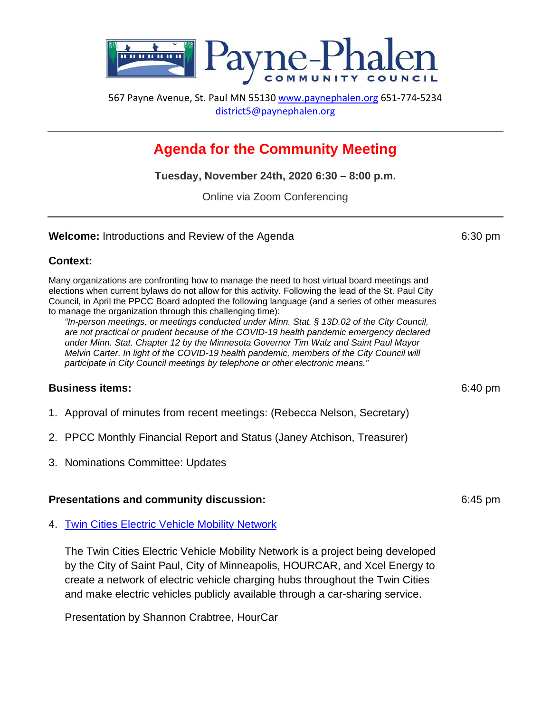

567 Payne Avenue, St. Paul MN 55130 [www.paynephalen.org](http://www.paynephalen.org/) 651-774-5234 [district5@paynephalen.org](mailto:district5@paynephalen.org)

# **Agenda for the Community Meeting**

**Tuesday, November 24th, 2020 6:30 – 8:00 p.m.**

Online via Zoom Conferencing

### **Welcome:** Introductions and Review of the Agenda 6:30 pm

### **Context:**

Many organizations are confronting how to manage the need to host virtual board meetings and elections when current bylaws do not allow for this activity. Following the lead of the St. Paul City Council, in April the PPCC Board adopted the following language (and a series of other measures to manage the organization through this challenging time):

*"In-person meetings, or meetings conducted under Minn. Stat. § 13D.02 of the City Council, are not practical or prudent because of the COVID-19 health pandemic emergency declared under Minn. Stat. Chapter 12 by the Minnesota Governor Tim Walz and Saint Paul Mayor Melvin Carter. In light of the COVID-19 health pandemic, members of the City Council will participate in City Council meetings by telephone or other electronic means."*

# **Business items:** 6:40 pm

- 1. Approval of minutes from recent meetings: (Rebecca Nelson, Secretary)
- 2. PPCC Monthly Financial Report and Status (Janey Atchison, Treasurer)
- 3. Nominations Committee: Updates

#### **Presentations and community discussion:** 6:45 pm

4. [Twin Cities Electric Vehicle Mobility Network](https://www.stpaul.gov/departments/public-works/transportation/twin-cities-electric-vehicle-mobility-network)

The Twin Cities Electric Vehicle Mobility Network is a project being developed by the City of Saint Paul, City of Minneapolis, HOURCAR, and Xcel Energy to create a network of electric vehicle charging hubs throughout the Twin Cities and make electric vehicles publicly available through a car-sharing service.

Presentation by Shannon Crabtree, HourCar